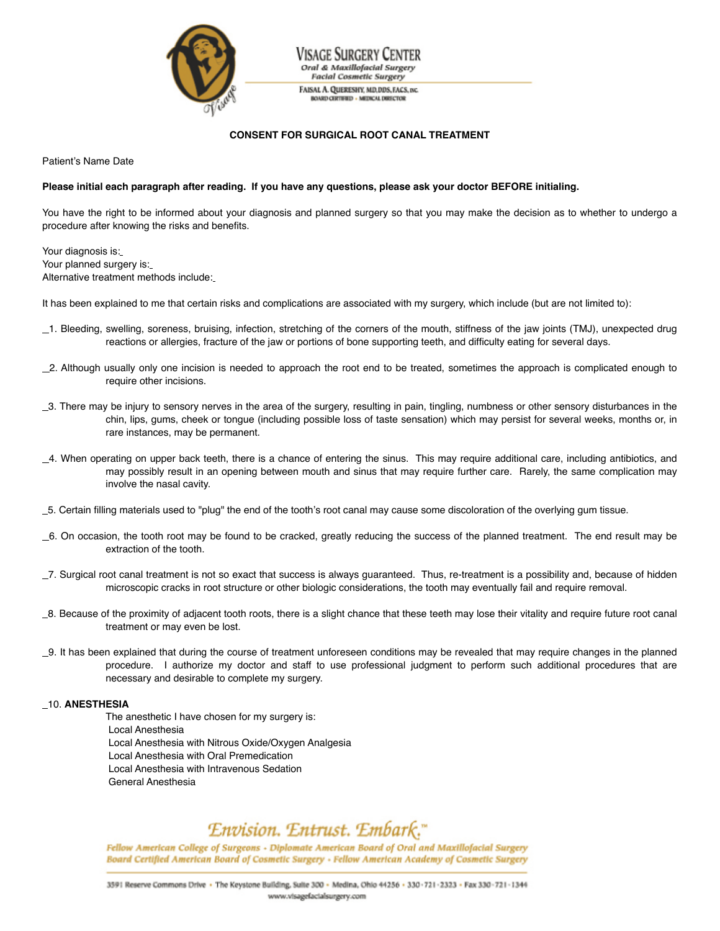

Visage Surgery Center Oral & Maxillofacial Surgery **Facial Cosmetic Surgery** FAISAL A. QUERESHY, MD, DDS, FACS, INC.

**BOARD CERTIFIED - MEDICAL DIRECTOR** 

## **CONSENT FOR SURGICAL ROOT CANAL TREATMENT**

Patient's Name Date

#### Please initial each paragraph after reading. If you have any questions, please ask your doctor BEFORE initialing.

You have the right to be informed about your diagnosis and planned surgery so that you may make the decision as to whether to undergo a procedure after knowing the risks and benefits.

Your diagnosis is: Your planned surgery is: Alternative treatment methods include:

It has been explained to me that certain risks and complications are associated with my surgery, which include (but are not limited to):

- 1. Bleeding, swelling, soreness, bruising, infection, stretching of the corners of the mouth, stiffness of the jaw joints (TMJ), unexpected drug reactions or allergies, fracture of the jaw or portions of bone supporting teeth, and difficulty eating for several days.
- 2. Although usually only one incision is needed to approach the root end to be treated, sometimes the approach is complicated enough to require other incisions.
- \_3. There may be injury to sensory nerves in the area of the surgery, resulting in pain, tingling, numbness or other sensory disturbances in the chin, lips, gums, cheek or tongue (including possible loss of taste sensation) which may persist for several weeks, months or, in rare instances, may be permanent.
- 4. When operating on upper back teeth, there is a chance of entering the sinus. This may require additional care, including antibiotics, and may possibly result in an opening between mouth and sinus that may require further care. Rarely, the same complication may involve the nasal cavity.
- 5. Certain filling materials used to "plug" the end of the tooth's root canal may cause some discoloration of the overlying gum tissue.
- 6. On occasion, the tooth root may be found to be cracked, greatly reducing the success of the planned treatment. The end result may be extraction of the tooth.
- 7. Surgical root canal treatment is not so exact that success is always guaranteed. Thus, re-treatment is a possibility and, because of hidden microscopic cracks in root structure or other biologic considerations, the tooth may eventually fail and require removal.
- 8. Because of the proximity of adjacent tooth roots, there is a slight chance that these teeth may lose their vitality and require future root canal treatment or may even be lost.
- 9. It has been explained that during the course of treatment unforeseen conditions may be revealed that may require changes in the planned procedure. I authorize my doctor and staff to use professional judgment to perform such additional procedures that are necessary and desirable to complete my surgery.

# 10. **ANESTHESIA**

The anesthetic I have chosen for my surgery is: Local Anesthesia Local Anesthesia with Nitrous Oxide/Oxygen Analgesia Local Anesthesia with Oral Premedication Local Anesthesia with Intravenous Sedation General Anesthesia

# Envision. Entrust. Embark."

Fellow American College of Surgeons - Diplomate American Board of Oral and Maxillofacial Surgery Board Certified American Board of Cosmetic Surgery - Fellow American Academy of Cosmetic Surgery